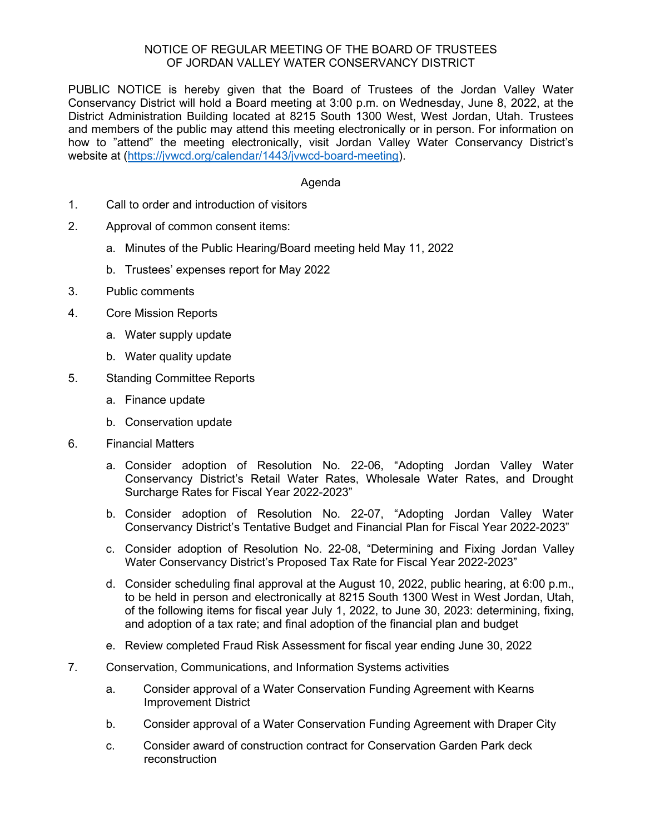## NOTICE OF REGULAR MEETING OF THE BOARD OF TRUSTEES OF JORDAN VALLEY WATER CONSERVANCY DISTRICT

PUBLIC NOTICE is hereby given that the Board of Trustees of the Jordan Valley Water Conservancy District will hold a Board meeting at 3:00 p.m. on Wednesday, June 8, 2022, at the District Administration Building located at 8215 South 1300 West, West Jordan, Utah. Trustees and members of the public may attend this meeting electronically or in person. For information on how to "attend" the meeting electronically, visit Jordan Valley Water Conservancy District's website at [\(https://jvwcd.org/calendar/1443/jvwcd-board-meeting\)](https://jvwcd.org/calendar/1443/jvwcd-board-meeting).

## Agenda

- 1. Call to order and introduction of visitors
- 2. Approval of common consent items:
	- a. Minutes of the Public Hearing/Board meeting held May 11, 2022
	- b. Trustees' expenses report for May 2022
- 3. Public comments
- 4. Core Mission Reports
	- a. Water supply update
	- b. Water quality update
- 5. Standing Committee Reports
	- a. Finance update
	- b. Conservation update
- 6. Financial Matters
	- a. Consider adoption of Resolution No. 22-06, "Adopting Jordan Valley Water Conservancy District's Retail Water Rates, Wholesale Water Rates, and Drought Surcharge Rates for Fiscal Year 2022-2023"
	- b. Consider adoption of Resolution No. 22-07, "Adopting Jordan Valley Water Conservancy District's Tentative Budget and Financial Plan for Fiscal Year 2022-2023"
	- c. Consider adoption of Resolution No. 22-08, "Determining and Fixing Jordan Valley Water Conservancy District's Proposed Tax Rate for Fiscal Year 2022-2023"
	- d. Consider scheduling final approval at the August 10, 2022, public hearing, at 6:00 p.m., to be held in person and electronically at 8215 South 1300 West in West Jordan, Utah, of the following items for fiscal year July 1, 2022, to June 30, 2023: determining, fixing, and adoption of a tax rate; and final adoption of the financial plan and budget
	- e. Review completed Fraud Risk Assessment for fiscal year ending June 30, 2022
- 7. Conservation, Communications, and Information Systems activities
	- a. Consider approval of a Water Conservation Funding Agreement with Kearns Improvement District
	- b. Consider approval of a Water Conservation Funding Agreement with Draper City
	- c. Consider award of construction contract for Conservation Garden Park deck reconstruction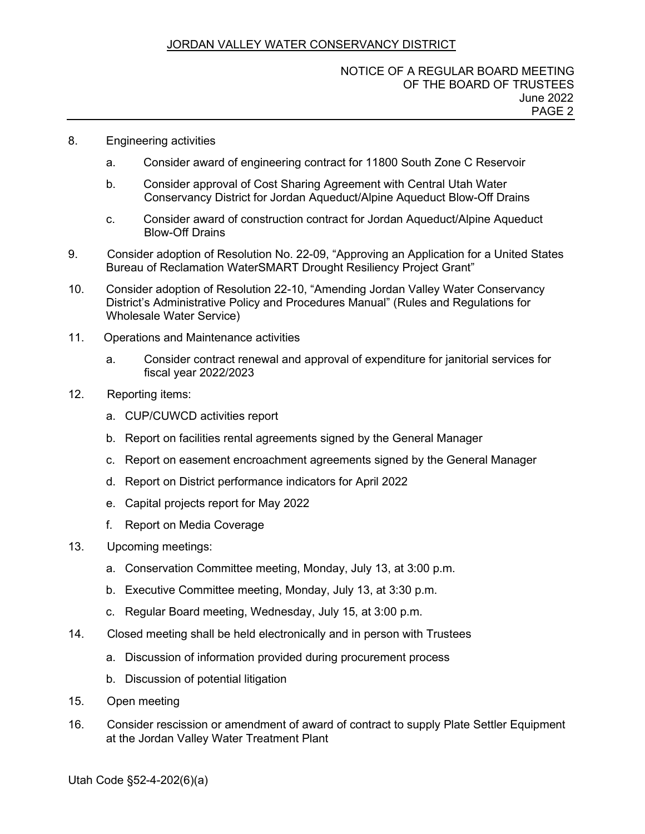# JORDAN VALLEY WATER CONSERVANCY DISTRICT

#### NOTICE OF A REGULAR BOARD MEETING OF THE BOARD OF TRUSTEES June 2022 PAGE 2

- 8. Engineering activities
	- a. Consider award of engineering contract for 11800 South Zone C Reservoir
	- b. Consider approval of Cost Sharing Agreement with Central Utah Water Conservancy District for Jordan Aqueduct/Alpine Aqueduct Blow-Off Drains
	- c. Consider award of construction contract for Jordan Aqueduct/Alpine Aqueduct Blow-Off Drains
- 9. Consider adoption of Resolution No. 22-09, "Approving an Application for a United States Bureau of Reclamation WaterSMART Drought Resiliency Project Grant"
- 10. Consider adoption of Resolution 22-10, "Amending Jordan Valley Water Conservancy District's Administrative Policy and Procedures Manual" (Rules and Regulations for Wholesale Water Service)
- 11. Operations and Maintenance activities
	- a. Consider contract renewal and approval of expenditure for janitorial services for fiscal year 2022/2023
- 12. Reporting items:
	- a. CUP/CUWCD activities report
	- b. Report on facilities rental agreements signed by the General Manager
	- c. Report on easement encroachment agreements signed by the General Manager
	- d. Report on District performance indicators for April 2022
	- e. Capital projects report for May 2022
	- f. Report on Media Coverage
- 13. Upcoming meetings:
	- a. Conservation Committee meeting, Monday, July 13, at 3:00 p.m.
	- b. Executive Committee meeting, Monday, July 13, at 3:30 p.m.
	- c. Regular Board meeting, Wednesday, July 15, at 3:00 p.m.
- 14. Closed meeting shall be held electronically and in person with Trustees
	- a. Discussion of information provided during procurement process
	- b. Discussion of potential litigation
- 15. Open meeting
- 16. Consider rescission or amendment of award of contract to supply Plate Settler Equipment at the Jordan Valley Water Treatment Plant